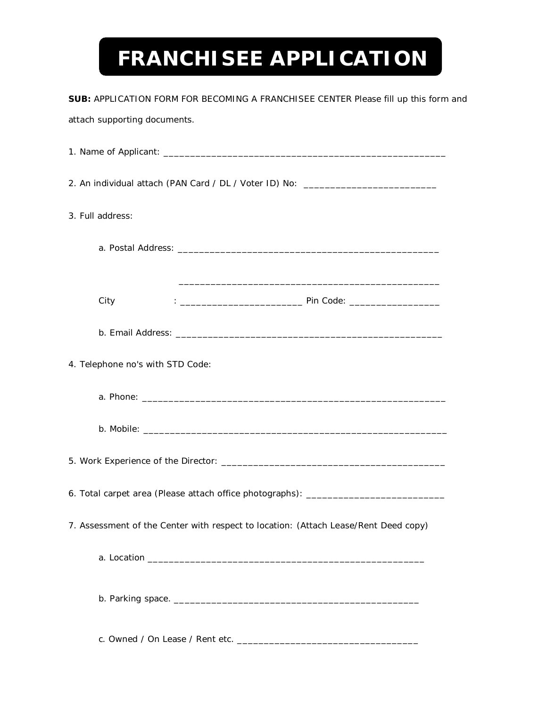## **FRANCHISEE APPLICATION**

| SUB: APPLICATION FORM FOR BECOMING A FRANCHISEE CENTER Please fill up this form and |
|-------------------------------------------------------------------------------------|
| attach supporting documents.                                                        |
|                                                                                     |
| 2. An individual attach (PAN Card / DL / Voter ID) No: _________________________    |
| 3. Full address:                                                                    |
|                                                                                     |
|                                                                                     |
| City                                                                                |
|                                                                                     |
| 4. Telephone no's with STD Code:                                                    |
|                                                                                     |
|                                                                                     |
|                                                                                     |
| 6. Total carpet area (Please attach office photographs):                            |
| 7. Assessment of the Center with respect to location: (Attach Lease/Rent Deed copy) |
|                                                                                     |
|                                                                                     |
|                                                                                     |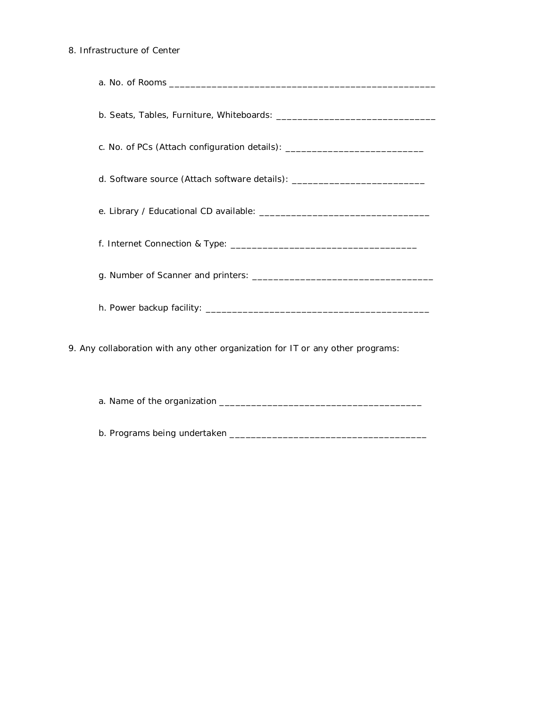## 8. Infrastructure of Center

| c. No. of PCs (Attach configuration details): __________________________________ |
|----------------------------------------------------------------------------------|
| d. Software source (Attach software details): __________________________________ |
|                                                                                  |
|                                                                                  |
|                                                                                  |
|                                                                                  |
| 9. Any collaboration with any other organization for IT or any other programs:   |

a. Name of the organization \_\_\_\_\_\_\_\_\_\_\_\_\_\_\_\_\_\_\_\_\_\_\_\_\_\_\_\_\_\_\_\_\_\_\_\_\_\_

b. Programs being undertaken \_\_\_\_\_\_\_\_\_\_\_\_\_\_\_\_\_\_\_\_\_\_\_\_\_\_\_\_\_\_\_\_\_\_\_\_\_